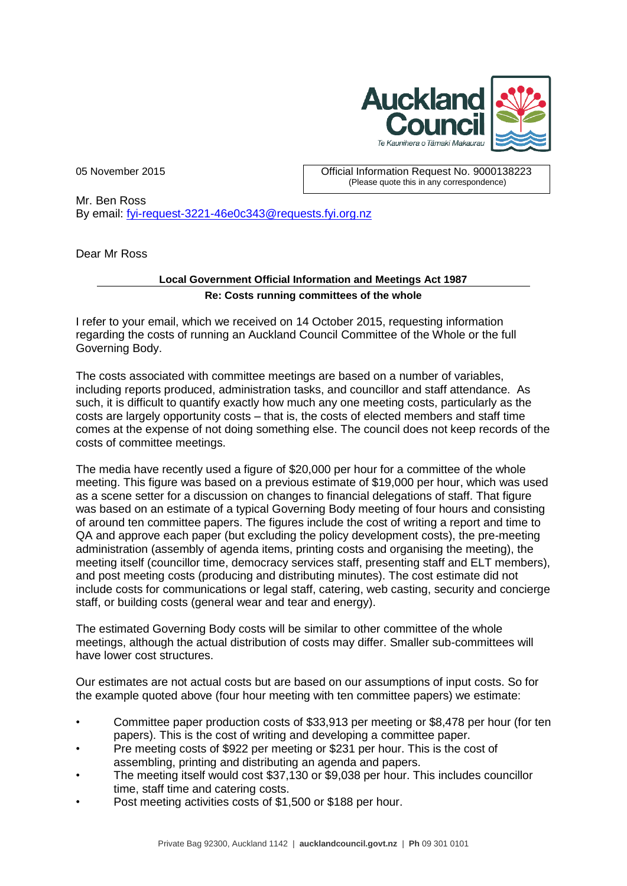

05 November 2015 Official Information Request No. 9000138223 (Please quote this in any correspondence)

Mr. Ben Ross By email: [fyi-request-3221-46e0c343@requests.fyi.org.nz](mailto:xxxxxxxxxxxxxxxxxxxxxxxxx@xxxxxxxx.xxx.xxx.xx)

Dear Mr Ross

## **Local Government Official Information and Meetings Act 1987 Re: Costs running committees of the whole**

I refer to your email, which we received on 14 October 2015, requesting information regarding the costs of running an Auckland Council Committee of the Whole or the full Governing Body.

The costs associated with committee meetings are based on a number of variables, including reports produced, administration tasks, and councillor and staff attendance. As such, it is difficult to quantify exactly how much any one meeting costs, particularly as the costs are largely opportunity costs – that is, the costs of elected members and staff time comes at the expense of not doing something else. The council does not keep records of the costs of committee meetings.

The media have recently used a figure of \$20,000 per hour for a committee of the whole meeting. This figure was based on a previous estimate of \$19,000 per hour, which was used as a scene setter for a discussion on changes to financial delegations of staff. That figure was based on an estimate of a typical Governing Body meeting of four hours and consisting of around ten committee papers. The figures include the cost of writing a report and time to QA and approve each paper (but excluding the policy development costs), the pre-meeting administration (assembly of agenda items, printing costs and organising the meeting), the meeting itself (councillor time, democracy services staff, presenting staff and ELT members), and post meeting costs (producing and distributing minutes). The cost estimate did not include costs for communications or legal staff, catering, web casting, security and concierge staff, or building costs (general wear and tear and energy).

The estimated Governing Body costs will be similar to other committee of the whole meetings, although the actual distribution of costs may differ. Smaller sub-committees will have lower cost structures.

Our estimates are not actual costs but are based on our assumptions of input costs. So for the example quoted above (four hour meeting with ten committee papers) we estimate:

- Committee paper production costs of \$33,913 per meeting or \$8,478 per hour (for ten papers). This is the cost of writing and developing a committee paper.
- Pre meeting costs of \$922 per meeting or \$231 per hour. This is the cost of assembling, printing and distributing an agenda and papers.
- The meeting itself would cost \$37,130 or \$9,038 per hour. This includes councillor time, staff time and catering costs.
- Post meeting activities costs of \$1,500 or \$188 per hour.